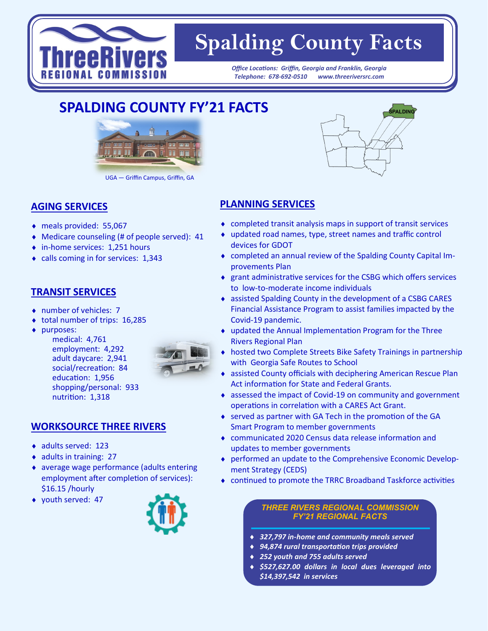

# **Spalding County Facts**

*Office Locations: Griffin, Georgia and Franklin, Georgia Office Locations: Griffin, Georgia and Franklin, Georgia Telephone: 678-692-0510 www.threeriversrc.com Telephone: 678-692-0510 www.threeriversrc.com*

## **SPALDING COUNTY FY'21 FACTS**



UGA — Griffin Campus, Griffin, GA

#### **AGING SERVICES**

- meals provided: 55,067
- Medicare counseling (# of people served): 41
- ◆ in-home services: 1,251 hours
- calls coming in for services: 1,343

#### **TRANSIT SERVICES**

- ◆ number of vehicles: 7
- total number of trips: 16,285
- purposes:

medical: 4,761 employment: 4,292 adult daycare: 2,941 social/recreation: 84 education: 1,956 shopping/personal: 933 nutrition: 1,318



#### **WORKSOURCE THREE RIVERS**

- ◆ adults served: 123
- $\bullet$  adults in training: 27
- average wage performance (adults entering employment after completion of services): \$16.15 /hourly
- youth served: 47



### **PLANNING SERVICES**

- completed transit analysis maps in support of transit services
- updated road names, type, street names and traffic control devices for GDOT
- completed an annual review of the Spalding County Capital Improvements Plan
- grant administrative services for the CSBG which offers services to low-to-moderate income individuals
- assisted Spalding County in the development of a CSBG CARES Financial Assistance Program to assist families impacted by the Covid-19 pandemic.
- updated the Annual Implementation Program for the Three Rivers Regional Plan
- hosted two Complete Streets Bike Safety Trainings in partnership with Georgia Safe Routes to School
- assisted County officials with deciphering American Rescue Plan Act information for State and Federal Grants.
- assessed the impact of Covid-19 on community and government operations in correlation with a CARES Act Grant.
- served as partner with GA Tech in the promotion of the GA Smart Program to member governments
- communicated 2020 Census data release information and updates to member governments
- performed an update to the Comprehensive Economic Development Strategy (CEDS)
- continued to promote the TRRC Broadband Taskforce activities

#### *THREE RIVERS REGIONAL COMMISSION FY'21 REGIONAL FACTS*

- *327,797 in-home and community meals served*
- *94,874 rural transportation trips provided*
- *252 youth and 755 adults served*
- *\$527,627.00 dollars in local dues leveraged into \$14,397,542 in services*